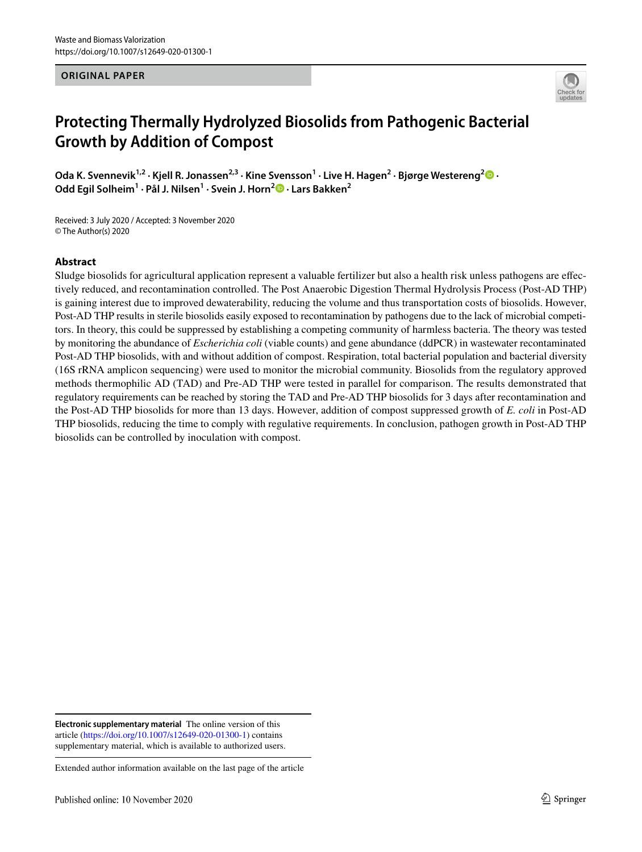#### **ORIGINAL PAPER**



# **Protecting Thermally Hydrolyzed Biosolids from Pathogenic Bacterial Growth by Addition of Compost**

**Oda K. Svennevik1,2 · Kjell R. Jonassen2,3 · Kine Svensson1 · Live H. Hagen2 · Bjørge Westereng2  [·](http://orcid.org/0000-0002-5141-7231) Odd Egil Solheim1 · Pål J. Nilsen1 · Svein J. Horn2  [·](http://orcid.org/0000-0002-1590-9001) Lars Bakken2**

Received: 3 July 2020 / Accepted: 3 November 2020 © The Author(s) 2020

#### **Abstract**

Sludge biosolids for agricultural application represent a valuable fertilizer but also a health risk unless pathogens are efectively reduced, and recontamination controlled. The Post Anaerobic Digestion Thermal Hydrolysis Process (Post-AD THP) is gaining interest due to improved dewaterability, reducing the volume and thus transportation costs of biosolids. However, Post-AD THP results in sterile biosolids easily exposed to recontamination by pathogens due to the lack of microbial competitors. In theory, this could be suppressed by establishing a competing community of harmless bacteria. The theory was tested by monitoring the abundance of *Escherichia coli* (viable counts) and gene abundance (ddPCR) in wastewater recontaminated Post-AD THP biosolids, with and without addition of compost. Respiration, total bacterial population and bacterial diversity (16S rRNA amplicon sequencing) were used to monitor the microbial community. Biosolids from the regulatory approved methods thermophilic AD (TAD) and Pre-AD THP were tested in parallel for comparison. The results demonstrated that regulatory requirements can be reached by storing the TAD and Pre-AD THP biosolids for 3 days after recontamination and the Post-AD THP biosolids for more than 13 days. However, addition of compost suppressed growth of *E. coli* in Post-AD THP biosolids, reducing the time to comply with regulative requirements. In conclusion, pathogen growth in Post-AD THP biosolids can be controlled by inoculation with compost.

**Electronic supplementary material** The online version of this article [\(https://doi.org/10.1007/s12649-020-01300-1\)](https://doi.org/10.1007/s12649-020-01300-1) contains supplementary material, which is available to authorized users.

Extended author information available on the last page of the article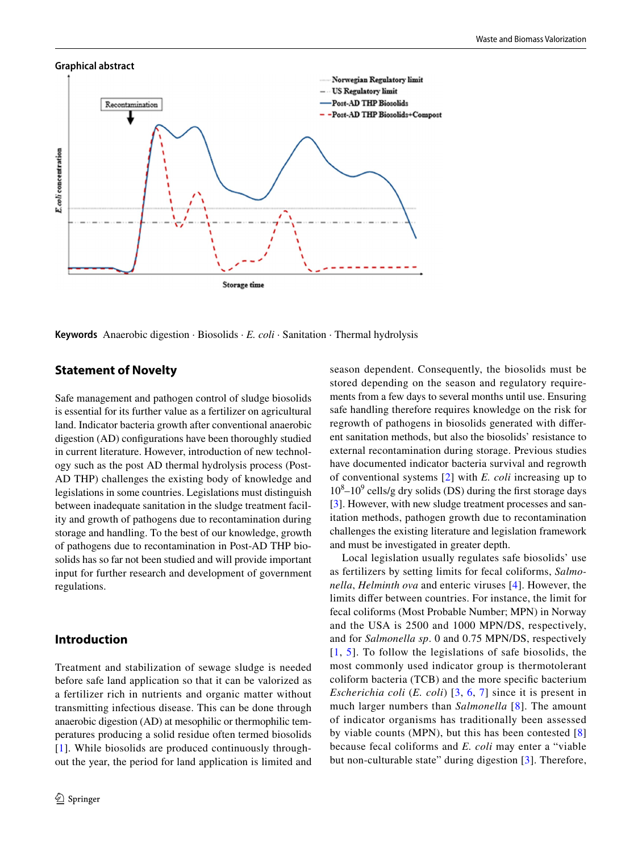# **Graphical abstract** Norwegian Regulatory limit **US** Regulatory limit Post-AD THP Biosolids Recontamination Post-AD THP Biosolids+Compost E coli concentration Storage time

**Keywords** Anaerobic digestion · Biosolids · *E. coli* · Sanitation · Thermal hydrolysis

# **Statement of Novelty**

Safe management and pathogen control of sludge biosolids is essential for its further value as a fertilizer on agricultural land. Indicator bacteria growth after conventional anaerobic digestion (AD) confgurations have been thoroughly studied in current literature. However, introduction of new technology such as the post AD thermal hydrolysis process (Post-AD THP) challenges the existing body of knowledge and legislations in some countries. Legislations must distinguish between inadequate sanitation in the sludge treatment facility and growth of pathogens due to recontamination during storage and handling. To the best of our knowledge, growth of pathogens due to recontamination in Post-AD THP biosolids has so far not been studied and will provide important input for further research and development of government regulations.

# **Introduction**

Treatment and stabilization of sewage sludge is needed before safe land application so that it can be valorized as a fertilizer rich in nutrients and organic matter without transmitting infectious disease. This can be done through anaerobic digestion (AD) at mesophilic or thermophilic temperatures producing a solid residue often termed biosolids [[1\]](#page-11-0). While biosolids are produced continuously throughout the year, the period for land application is limited and season dependent. Consequently, the biosolids must be stored depending on the season and regulatory requirements from a few days to several months until use. Ensuring safe handling therefore requires knowledge on the risk for regrowth of pathogens in biosolids generated with diferent sanitation methods, but also the biosolids' resistance to external recontamination during storage. Previous studies have documented indicator bacteria survival and regrowth of conventional systems [[2](#page-11-1)] with *E. coli* increasing up to  $10^8 - 10^9$  cells/g dry solids (DS) during the first storage days [\[3](#page-11-2)]. However, with new sludge treatment processes and sanitation methods, pathogen growth due to recontamination challenges the existing literature and legislation framework and must be investigated in greater depth.

Local legislation usually regulates safe biosolids' use as fertilizers by setting limits for fecal coliforms, *Salmonella*, *Helminth ova* and enteric viruses [[4\]](#page-11-3). However, the limits difer between countries. For instance, the limit for fecal coliforms (Most Probable Number; MPN) in Norway and the USA is 2500 and 1000 MPN/DS, respectively, and for *Salmonella sp*. 0 and 0.75 MPN/DS, respectively [[1](#page-11-0), [5\]](#page-11-4). To follow the legislations of safe biosolids, the most commonly used indicator group is thermotolerant coliform bacteria (TCB) and the more specifc bacterium *Escherichia coli* (*E. coli*) [[3](#page-11-2), [6,](#page-11-5) [7](#page-11-6)] since it is present in much larger numbers than *Salmonella* [[8](#page-11-7)]. The amount of indicator organisms has traditionally been assessed by viable counts (MPN), but this has been contested [[8\]](#page-11-7) because fecal coliforms and *E. coli* may enter a "viable but non-culturable state" during digestion [[3](#page-11-2)]. Therefore,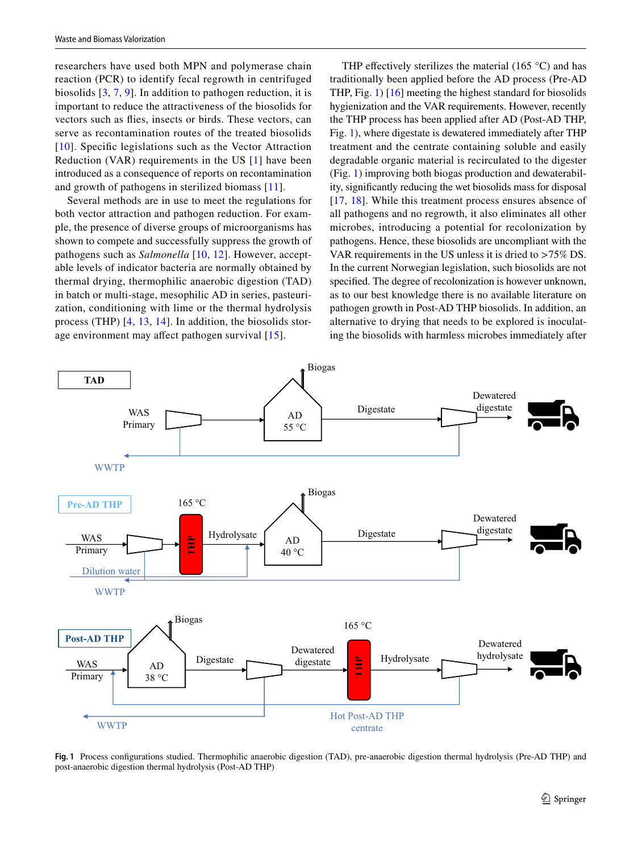researchers have used both MPN and polymerase chain reaction (PCR) to identify fecal regrowth in centrifuged biosolids [[3](#page-11-2), [7,](#page-11-6) [9\]](#page-11-8). In addition to pathogen reduction, it is important to reduce the attractiveness of the biosolids for vectors such as fies, insects or birds. These vectors, can serve as recontamination routes of the treated biosolids [[10](#page-11-9)]. Specific legislations such as the Vector Attraction Reduction (VAR) requirements in the US [[1](#page-11-0)] have been introduced as a consequence of reports on recontamination and growth of pathogens in sterilized biomass [[11](#page-11-10)].

Several methods are in use to meet the regulations for both vector attraction and pathogen reduction. For example, the presence of diverse groups of microorganisms has shown to compete and successfully suppress the growth of pathogens such as *Salmonella* [[10](#page-11-9), [12](#page-11-11)]. However, acceptable levels of indicator bacteria are normally obtained by thermal drying, thermophilic anaerobic digestion (TAD) in batch or multi-stage, mesophilic AD in series, pasteurization, conditioning with lime or the thermal hydrolysis process (THP) [[4,](#page-11-3) [13,](#page-11-12) [14](#page-11-13)]. In addition, the biosolids storage environment may afect pathogen survival [[15](#page-11-14)].

THP effectively sterilizes the material  $(165 \degree C)$  and has traditionally been applied before the AD process (Pre-AD THP, Fig. [1\)](#page-2-0) [[16\]](#page-11-15) meeting the highest standard for biosolids hygienization and the VAR requirements. However, recently the THP process has been applied after AD (Post-AD THP, Fig. [1](#page-2-0)), where digestate is dewatered immediately after THP treatment and the centrate containing soluble and easily degradable organic material is recirculated to the digester (Fig. [1\)](#page-2-0) improving both biogas production and dewaterability, signifcantly reducing the wet biosolids mass for disposal [[17,](#page-11-16) [18\]](#page-11-17). While this treatment process ensures absence of all pathogens and no regrowth, it also eliminates all other microbes, introducing a potential for recolonization by pathogens. Hence, these biosolids are uncompliant with the VAR requirements in the US unless it is dried to >75% DS. In the current Norwegian legislation, such biosolids are not specifed. The degree of recolonization is however unknown, as to our best knowledge there is no available literature on pathogen growth in Post-AD THP biosolids. In addition, an alternative to drying that needs to be explored is inoculating the biosolids with harmless microbes immediately after



<span id="page-2-0"></span>**Fig. 1** Process confgurations studied. Thermophilic anaerobic digestion (TAD), pre-anaerobic digestion thermal hydrolysis (Pre-AD THP) and post-anaerobic digestion thermal hydrolysis (Post-AD THP)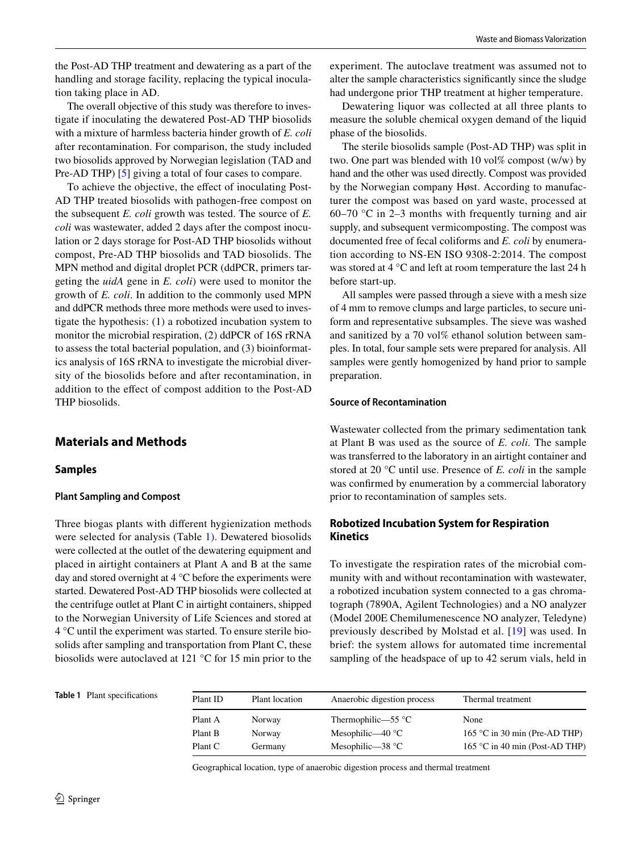the Post-AD THP treatment and dewatering as a part of the handling and storage facility, replacing the typical inoculation taking place in AD.

The overall objective of this study was therefore to investigate if inoculating the dewatered Post-AD THP biosolids with a mixture of harmless bacteria hinder growth of *E. coli* after recontamination. For comparison, the study included two biosolids approved by Norwegian legislation (TAD and Pre-AD THP) [[5\]](#page-11-4) giving a total of four cases to compare.

To achieve the objective, the efect of inoculating Post-AD THP treated biosolids with pathogen-free compost on the subsequent *E. coli* growth was tested. The source of *E. coli* was wastewater, added 2 days after the compost inoculation or 2 days storage for Post-AD THP biosolids without compost, Pre-AD THP biosolids and TAD biosolids. The MPN method and digital droplet PCR (ddPCR, primers targeting the *uidA* gene in *E. coli*) were used to monitor the growth of *E. coli*. In addition to the commonly used MPN and ddPCR methods three more methods were used to investigate the hypothesis: (1) a robotized incubation system to monitor the microbial respiration, (2) ddPCR of 16S rRNA to assess the total bacterial population, and (3) bioinformatics analysis of 16S rRNA to investigate the microbial diversity of the biosolids before and after recontamination, in addition to the efect of compost addition to the Post-AD THP biosolids.

# **Materials and Methods**

### **Samples**

#### **Plant Sampling and Compost**

Three biogas plants with diferent hygienization methods were selected for analysis (Table [1\)](#page-3-0). Dewatered biosolids were collected at the outlet of the dewatering equipment and placed in airtight containers at Plant A and B at the same day and stored overnight at 4 °C before the experiments were started. Dewatered Post-AD THP biosolids were collected at the centrifuge outlet at Plant C in airtight containers, shipped to the Norwegian University of Life Sciences and stored at 4 °C until the experiment was started. To ensure sterile biosolids after sampling and transportation from Plant C, these biosolids were autoclaved at 121 °C for 15 min prior to the experiment. The autoclave treatment was assumed not to alter the sample characteristics signifcantly since the sludge had undergone prior THP treatment at higher temperature.

Dewatering liquor was collected at all three plants to measure the soluble chemical oxygen demand of the liquid phase of the biosolids.

The sterile biosolids sample (Post-AD THP) was split in two. One part was blended with 10 vol% compost  $(w/w)$  by hand and the other was used directly. Compost was provided by the Norwegian company Høst. According to manufacturer the compost was based on yard waste, processed at 60–70 °C in 2–3 months with frequently turning and air supply, and subsequent vermicomposting. The compost was documented free of fecal coliforms and *E. coli* by enumeration according to NS-EN ISO 9308-2:2014. The compost was stored at 4 °C and left at room temperature the last 24 h before start-up.

All samples were passed through a sieve with a mesh size of 4 mm to remove clumps and large particles, to secure uniform and representative subsamples. The sieve was washed and sanitized by a 70 vol% ethanol solution between samples. In total, four sample sets were prepared for analysis. All samples were gently homogenized by hand prior to sample preparation.

#### **Source of Recontamination**

Wastewater collected from the primary sedimentation tank at Plant B was used as the source of *E. coli.* The sample was transferred to the laboratory in an airtight container and stored at 20 °C until use. Presence of *E. coli* in the sample was confrmed by enumeration by a commercial laboratory prior to recontamination of samples sets.

# **Robotized Incubation System for Respiration Kinetics**

To investigate the respiration rates of the microbial community with and without recontamination with wastewater, a robotized incubation system connected to a gas chromatograph (7890A, Agilent Technologies) and a NO analyzer (Model 200E Chemilumenescence NO analyzer, Teledyne) previously described by Molstad et al. [[19\]](#page-11-18) was used. In brief: the system allows for automated time incremental sampling of the headspace of up to 42 serum vials, held in

<span id="page-3-0"></span>**Table 1** Plant specifcations

| Plant ID | Plant location | Anaerobic digestion process | Thermal treatment              |
|----------|----------------|-----------------------------|--------------------------------|
| Plant A  | Norway         | Thermophilic—55 $\degree$ C | None                           |
| Plant B  | Norway         | Mesophilic—40 $\degree$ C   | 165 °C in 30 min (Pre-AD THP)  |
| Plant C  | Germany        | Mesophilic— $38 °C$         | 165 °C in 40 min (Post-AD THP) |

Geographical location, type of anaerobic digestion process and thermal treatment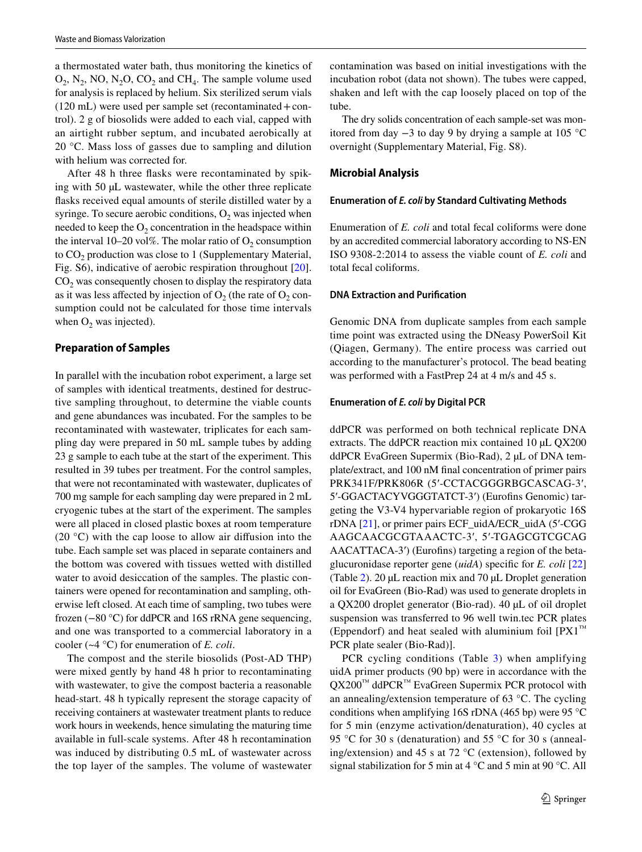a thermostated water bath, thus monitoring the kinetics of  $O_2$ , N<sub>2</sub>, NO, N<sub>2</sub>O, CO<sub>2</sub> and CH<sub>4</sub>. The sample volume used for analysis is replaced by helium. Six sterilized serum vials  $(120 \text{ mL})$  were used per sample set (recontaminated + control). 2 g of biosolids were added to each vial, capped with an airtight rubber septum, and incubated aerobically at 20 °C. Mass loss of gasses due to sampling and dilution with helium was corrected for.

After 48 h three fasks were recontaminated by spiking with 50 µL wastewater, while the other three replicate fasks received equal amounts of sterile distilled water by a syringe. To secure aerobic conditions,  $O_2$  was injected when needed to keep the  $O_2$  concentration in the headspace within the interval 10–20 vol%. The molar ratio of  $O_2$  consumption to  $CO<sub>2</sub>$  production was close to 1 (Supplementary Material, Fig. S6), indicative of aerobic respiration throughout [\[20](#page-11-19)].  $CO<sub>2</sub>$  was consequently chosen to display the respiratory data as it was less affected by injection of  $O_2$  (the rate of  $O_2$  consumption could not be calculated for those time intervals when  $O_2$  was injected).

#### **Preparation of Samples**

In parallel with the incubation robot experiment, a large set of samples with identical treatments, destined for destructive sampling throughout, to determine the viable counts and gene abundances was incubated. For the samples to be recontaminated with wastewater, triplicates for each sampling day were prepared in 50 mL sample tubes by adding 23 g sample to each tube at the start of the experiment. This resulted in 39 tubes per treatment. For the control samples, that were not recontaminated with wastewater, duplicates of 700 mg sample for each sampling day were prepared in 2 mL cryogenic tubes at the start of the experiment. The samples were all placed in closed plastic boxes at room temperature (20 $\degree$ C) with the cap loose to allow air diffusion into the tube. Each sample set was placed in separate containers and the bottom was covered with tissues wetted with distilled water to avoid desiccation of the samples. The plastic containers were opened for recontamination and sampling, otherwise left closed. At each time of sampling, two tubes were frozen (−80 °C) for ddPCR and 16S rRNA gene sequencing, and one was transported to a commercial laboratory in a cooler (~4 °C) for enumeration of *E. coli*.

The compost and the sterile biosolids (Post-AD THP) were mixed gently by hand 48 h prior to recontaminating with wastewater, to give the compost bacteria a reasonable head-start. 48 h typically represent the storage capacity of receiving containers at wastewater treatment plants to reduce work hours in weekends, hence simulating the maturing time available in full-scale systems. After 48 h recontamination was induced by distributing 0.5 mL of wastewater across the top layer of the samples. The volume of wastewater contamination was based on initial investigations with the incubation robot (data not shown). The tubes were capped, shaken and left with the cap loosely placed on top of the tube.

The dry solids concentration of each sample-set was monitored from day −3 to day 9 by drying a sample at 105 °C overnight (Supplementary Material, Fig. S8).

#### **Microbial Analysis**

#### **Enumeration of** *E. coli* **by Standard Cultivating Methods**

Enumeration of *E. coli* and total fecal coliforms were done by an accredited commercial laboratory according to NS-EN ISO 9308-2:2014 to assess the viable count of *E. coli* and total fecal coliforms.

#### **DNA Extraction and Purifcation**

Genomic DNA from duplicate samples from each sample time point was extracted using the DNeasy PowerSoil Kit (Qiagen, Germany). The entire process was carried out according to the manufacturer's protocol. The bead beating was performed with a FastPrep 24 at 4 m/s and 45 s.

#### **Enumeration of** *E. coli* **by Digital PCR**

ddPCR was performed on both technical replicate DNA extracts. The ddPCR reaction mix contained 10  $\mu$ L QX200 ddPCR EvaGreen Supermix (Bio-Rad), 2 µL of DNA template/extract, and 100 nM fnal concentration of primer pairs PRK341F/PRK806R (5′-CCTACGGGRBGCASCAG-3′, 5′-GGACTACYVGGGTATCT-3′) (Eurofns Genomic) targeting the V3-V4 hypervariable region of prokaryotic 16S rDNA [[21\]](#page-11-20), or primer pairs ECF\_uidA/ECR\_uidA (5′-CGG AAGCAACGCGTAAACTC-3′, 5′-TGAGCGTCGCAG AACATTACA-3′) (Eurofns) targeting a region of the betaglucuronidase reporter gene (*uidA*) specifc for *E. coli* [[22\]](#page-11-21) (Table [2](#page-5-0)). 20 µL reaction mix and 70 µL Droplet generation oil for EvaGreen (Bio-Rad) was used to generate droplets in a QX200 droplet generator (Bio-rad). 40 µL of oil droplet suspension was transferred to 96 well twin.tec PCR plates (Eppendorf) and heat sealed with aluminium foil  $[PX1^m]$ PCR plate sealer (Bio-Rad)].

PCR cycling conditions (Table [3\)](#page-5-1) when amplifying uidA primer products (90 bp) were in accordance with the QX200<sup>™</sup> ddPCR<sup>™</sup> EvaGreen Supermix PCR protocol with an annealing/extension temperature of 63 °C. The cycling conditions when amplifying 16S rDNA (465 bp) were 95  $\degree$ C for 5 min (enzyme activation/denaturation), 40 cycles at 95 °C for 30 s (denaturation) and 55 °C for 30 s (annealing/extension) and 45 s at 72 °C (extension), followed by signal stabilization for 5 min at 4 °C and 5 min at 90 °C. All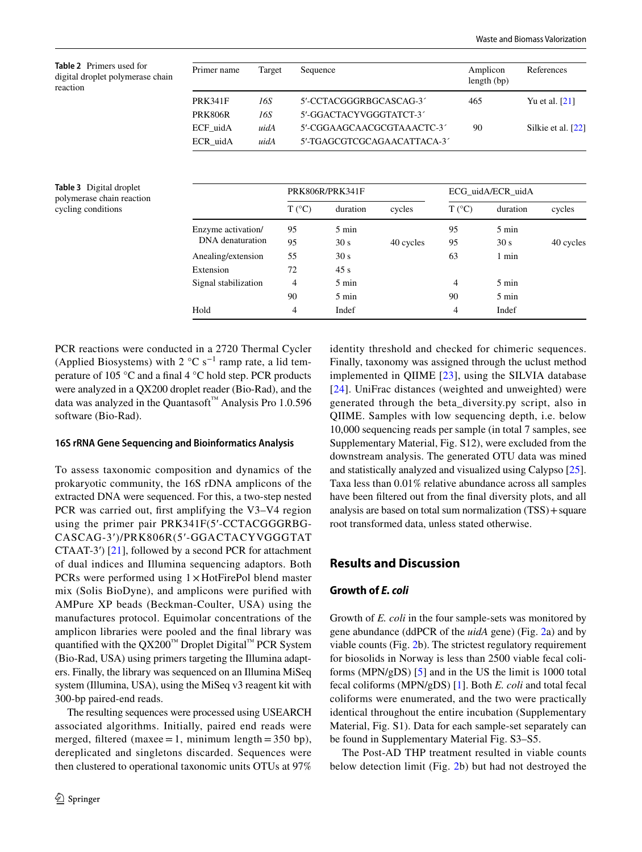<span id="page-5-0"></span>**Table 2** Primers used for digital droplet polymerase chain reaction

| Primer name    | Target | Sequence                   | Amplicon<br>length (bp) | References         |  |
|----------------|--------|----------------------------|-------------------------|--------------------|--|
| <b>PRK341F</b> | 16S    | 5'-CCTACGGGRBGCASCAG-3     | 465                     | Yu et al. $[21]$   |  |
| PRK806R        | 16S    | 5'-GGACTACYVGGGTATCT-3     |                         |                    |  |
| ECF uidA       | uidA   | 5'-CGGAAGCAACGCGTAAACTC-3  | 90                      | Silkie et al. [22] |  |
| ECR uidA       | uidA   | 5'-TGAGCGTCGCAGAACATTACA-3 |                         |                    |  |

<span id="page-5-1"></span>

| Table 3 Digital droplet   |
|---------------------------|
| polymerase chain reaction |
| cycling conditions        |

|                      | PRK806R/PRK341F |                 | ECG uidA/ECR uidA |                 |                 |           |
|----------------------|-----------------|-----------------|-------------------|-----------------|-----------------|-----------|
|                      | $T (^{\circ}C)$ | duration        | cycles            | $T (^{\circ}C)$ | duration        | cycles    |
| Enzyme activation/   | 95              | $5 \text{ min}$ |                   | 95              | $5 \text{ min}$ |           |
| DNA denaturation     | 95              | 30 s            | 40 cycles         | 95              | 30 s            | 40 cycles |
| Anealing/extension   | 55              | 30 s            |                   | 63              | 1 min           |           |
| Extension            | 72              | 45s             |                   |                 |                 |           |
| Signal stabilization | 4               | $5 \text{ min}$ |                   | 4               | $5 \text{ min}$ |           |
|                      | 90              | $5 \text{ min}$ |                   | 90              | $5 \text{ min}$ |           |
| Hold                 | 4               | Indef           |                   | 4               | Indef           |           |

PCR reactions were conducted in a 2720 Thermal Cycler (Applied Biosystems) with  $2 \text{ °C s}^{-1}$  ramp rate, a lid temperature of 105 °C and a fnal 4 °C hold step. PCR products were analyzed in a QX200 droplet reader (Bio-Rad), and the data was analyzed in the Quantasoft™ Analysis Pro 1.0.596 software (Bio-Rad).

#### **16S rRNA Gene Sequencing and Bioinformatics Analysis**

To assess taxonomic composition and dynamics of the prokaryotic community, the 16S rDNA amplicons of the extracted DNA were sequenced. For this, a two-step nested PCR was carried out, frst amplifying the V3–V4 region using the primer pair PRK341F(5′-CCTACGGGRBG-CASCAG-3′)/PRK806R(5′-GGACTACYVGGGTAT CTAAT-3′) [\[21](#page-11-20)], followed by a second PCR for attachment of dual indices and Illumina sequencing adaptors. Both PCRs were performed using 1× HotFirePol blend master mix (Solis BioDyne), and amplicons were purifed with AMPure XP beads (Beckman-Coulter, USA) using the manufactures protocol. Equimolar concentrations of the amplicon libraries were pooled and the fnal library was quantified with the QX200™ Droplet Digital™ PCR System (Bio-Rad, USA) using primers targeting the Illumina adapters. Finally, the library was sequenced on an Illumina MiSeq system (Illumina, USA), using the MiSeq v3 reagent kit with 300-bp paired-end reads.

The resulting sequences were processed using USEARCH associated algorithms. Initially, paired end reads were merged, filtered (maxee = 1, minimum length =  $350$  bp), dereplicated and singletons discarded. Sequences were then clustered to operational taxonomic units OTUs at 97% identity threshold and checked for chimeric sequences. Finally, taxonomy was assigned through the uclust method implemented in QIIME [[23](#page-11-22)], using the SILVIA database [[24\]](#page-11-23). UniFrac distances (weighted and unweighted) were generated through the beta\_diversity.py script, also in QIIME. Samples with low sequencing depth, i.e. below 10,000 sequencing reads per sample (in total 7 samples, see Supplementary Material, Fig. S12), were excluded from the downstream analysis. The generated OTU data was mined and statistically analyzed and visualized using Calypso [\[25](#page-12-0)]. Taxa less than 0.01% relative abundance across all samples have been fltered out from the fnal diversity plots, and all analysis are based on total sum normalization (TSS)+square root transformed data, unless stated otherwise.

# **Results and Discussion**

#### **Growth of** *E. coli*

Growth of *E. coli* in the four sample-sets was monitored by gene abundance (ddPCR of the *uidA* gene) (Fig. [2](#page-6-0)a) and by viable counts (Fig. [2b](#page-6-0)). The strictest regulatory requirement for biosolids in Norway is less than 2500 viable fecal coliforms (MPN/gDS) [[5\]](#page-11-4) and in the US the limit is 1000 total fecal coliforms (MPN/gDS) [[1\]](#page-11-0). Both *E. coli* and total fecal coliforms were enumerated, and the two were practically identical throughout the entire incubation (Supplementary Material, Fig. S1). Data for each sample-set separately can be found in Supplementary Material Fig. S3–S5.

The Post-AD THP treatment resulted in viable counts below detection limit (Fig. [2](#page-6-0)b) but had not destroyed the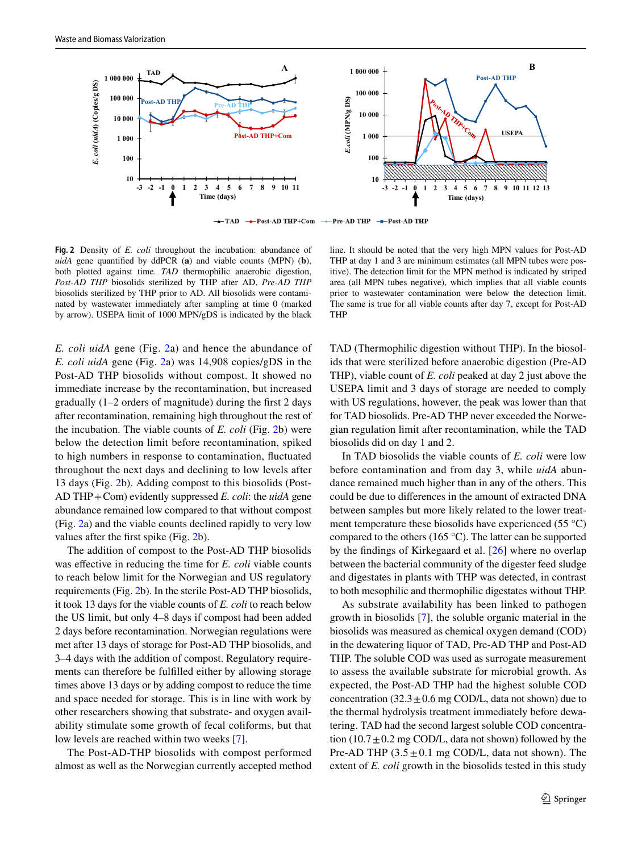

 $+TAD$ -- Post-AD THP+Com Pre-AD THP - Post-AD THP

<span id="page-6-0"></span>**Fig. 2** Density of *E. coli* throughout the incubation: abundance of *uidA* gene quantifed by ddPCR (**a**) and viable counts (MPN) (**b**), both plotted against time. *TAD* thermophilic anaerobic digestion, *Post-AD THP* biosolids sterilized by THP after AD, *Pre-AD THP* biosolids sterilized by THP prior to AD. All biosolids were contaminated by wastewater immediately after sampling at time 0 (marked by arrow). USEPA limit of 1000 MPN/gDS is indicated by the black

*E. coli uidA* gene (Fig. [2a](#page-6-0)) and hence the abundance of *E. coli uidA* gene (Fig. [2](#page-6-0)a) was 14,908 copies/gDS in the Post-AD THP biosolids without compost. It showed no immediate increase by the recontamination, but increased gradually (1–2 orders of magnitude) during the frst 2 days after recontamination, remaining high throughout the rest of the incubation. The viable counts of *E. coli* (Fig. [2](#page-6-0)b) were below the detection limit before recontamination, spiked to high numbers in response to contamination, fuctuated throughout the next days and declining to low levels after 13 days (Fig. [2b](#page-6-0)). Adding compost to this biosolids (Post-AD THP+Com) evidently suppressed *E. coli*: the *uidA* gene abundance remained low compared to that without compost (Fig. [2a](#page-6-0)) and the viable counts declined rapidly to very low values after the frst spike (Fig. [2b](#page-6-0)).

The addition of compost to the Post-AD THP biosolids was efective in reducing the time for *E. coli* viable counts to reach below limit for the Norwegian and US regulatory requirements (Fig. [2](#page-6-0)b). In the sterile Post-AD THP biosolids, it took 13 days for the viable counts of *E. coli* to reach below the US limit, but only 4–8 days if compost had been added 2 days before recontamination. Norwegian regulations were met after 13 days of storage for Post-AD THP biosolids, and 3–4 days with the addition of compost. Regulatory requirements can therefore be fulflled either by allowing storage times above 13 days or by adding compost to reduce the time and space needed for storage. This is in line with work by other researchers showing that substrate- and oxygen availability stimulate some growth of fecal coliforms, but that low levels are reached within two weeks [\[7](#page-11-6)].

The Post-AD-THP biosolids with compost performed almost as well as the Norwegian currently accepted method

line. It should be noted that the very high MPN values for Post-AD THP at day 1 and 3 are minimum estimates (all MPN tubes were positive). The detection limit for the MPN method is indicated by striped area (all MPN tubes negative), which implies that all viable counts prior to wastewater contamination were below the detection limit. The same is true for all viable counts after day 7, except for Post-AD THP

TAD (Thermophilic digestion without THP). In the biosolids that were sterilized before anaerobic digestion (Pre-AD THP), viable count of *E. coli* peaked at day 2 just above the USEPA limit and 3 days of storage are needed to comply with US regulations, however, the peak was lower than that for TAD biosolids. Pre-AD THP never exceeded the Norwegian regulation limit after recontamination, while the TAD biosolids did on day 1 and 2.

In TAD biosolids the viable counts of *E. coli* were low before contamination and from day 3, while *uidA* abundance remained much higher than in any of the others. This could be due to diferences in the amount of extracted DNA between samples but more likely related to the lower treatment temperature these biosolids have experienced (55 $\degree$ C) compared to the others (165 °C). The latter can be supported by the fndings of Kirkegaard et al. [[26](#page-12-1)] where no overlap between the bacterial community of the digester feed sludge and digestates in plants with THP was detected, in contrast to both mesophilic and thermophilic digestates without THP.

As substrate availability has been linked to pathogen growth in biosolids [[7](#page-11-6)], the soluble organic material in the biosolids was measured as chemical oxygen demand (COD) in the dewatering liquor of TAD, Pre-AD THP and Post-AD THP. The soluble COD was used as surrogate measurement to assess the available substrate for microbial growth. As expected, the Post-AD THP had the highest soluble COD concentration  $(32.3 \pm 0.6 \text{ mg COD/L})$ , data not shown) due to the thermal hydrolysis treatment immediately before dewatering. TAD had the second largest soluble COD concentration  $(10.7 \pm 0.2 \text{ mg COD/L})$ , data not shown) followed by the Pre-AD THP  $(3.5 \pm 0.1 \text{ mg COD/L})$ , data not shown). The extent of *E. coli* growth in the biosolids tested in this study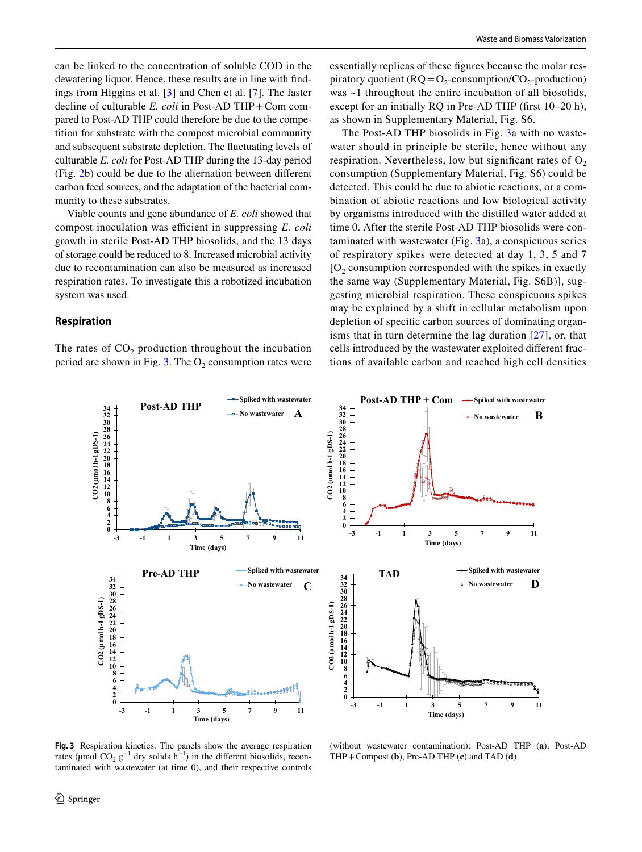can be linked to the concentration of soluble COD in the dewatering liquor. Hence, these results are in line with fndings from Higgins et al. [[3\]](#page-11-2) and Chen et al. [\[7](#page-11-6)]. The faster decline of culturable *E. coli* in Post-AD THP+Com compared to Post-AD THP could therefore be due to the competition for substrate with the compost microbial community and subsequent substrate depletion. The fuctuating levels of culturable *E. coli* for Post-AD THP during the 13-day period (Fig. [2](#page-6-0)b) could be due to the alternation between diferent carbon feed sources, and the adaptation of the bacterial community to these substrates.

Viable counts and gene abundance of *E. coli* showed that compost inoculation was efficient in suppressing *E. coli* growth in sterile Post-AD THP biosolids, and the 13 days of storage could be reduced to 8. Increased microbial activity due to recontamination can also be measured as increased respiration rates. To investigate this a robotized incubation system was used.

#### **Respiration**

The rates of  $CO<sub>2</sub>$  production throughout the incubation period are shown in Fig. [3.](#page-7-0) The  $O_2$  consumption rates were essentially replicas of these fgures because the molar respiratory quotient ( $RQ = O<sub>2</sub>$ -consumption/ $CO<sub>2</sub>$ -production) was ~1 throughout the entire incubation of all biosolids, except for an initially RQ in Pre-AD THP (frst 10–20 h), as shown in Supplementary Material, Fig. S6.

The Post-AD THP biosolids in Fig. [3a](#page-7-0) with no wastewater should in principle be sterile, hence without any respiration. Nevertheless, low but significant rates of  $O<sub>2</sub>$ consumption (Supplementary Material, Fig. S6) could be detected. This could be due to abiotic reactions, or a combination of abiotic reactions and low biological activity by organisms introduced with the distilled water added at time 0. After the sterile Post-AD THP biosolids were contaminated with wastewater (Fig. [3](#page-7-0)a), a conspicuous series of respiratory spikes were detected at day 1, 3, 5 and 7  $[O<sub>2</sub>$  consumption corresponded with the spikes in exactly the same way (Supplementary Material, Fig. S6B)], suggesting microbial respiration. These conspicuous spikes may be explained by a shift in cellular metabolism upon depletion of specifc carbon sources of dominating organisms that in turn determine the lag duration [[27\]](#page-12-2), or, that cells introduced by the wastewater exploited diferent fractions of available carbon and reached high cell densities



<span id="page-7-0"></span>**Fig. 3** Respiration kinetics. The panels show the average respiration rates (µmol  $CO_2$  g<sup>-1</sup> dry solids h<sup>-1</sup>) in the different biosolids, recontaminated with wastewater (at time 0), and their respective controls

(without wastewater contamination): Post-AD THP (**a**), Post-AD THP+Compost (**b**), Pre-AD THP (**c**) and TAD (**d**)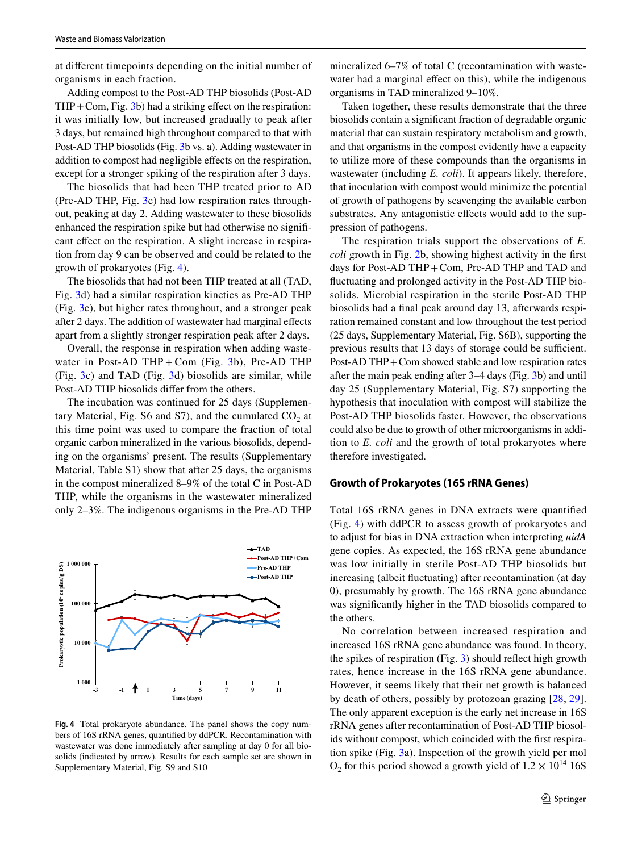at diferent timepoints depending on the initial number of organisms in each fraction.

Adding compost to the Post-AD THP biosolids (Post-AD THP+Com, Fig. [3](#page-7-0)b) had a striking efect on the respiration: it was initially low, but increased gradually to peak after 3 days, but remained high throughout compared to that with Post-AD THP biosolids (Fig. [3b](#page-7-0) vs. a). Adding wastewater in addition to compost had negligible effects on the respiration, except for a stronger spiking of the respiration after 3 days.

The biosolids that had been THP treated prior to AD (Pre-AD THP, Fig. [3c](#page-7-0)) had low respiration rates throughout, peaking at day 2. Adding wastewater to these biosolids enhanced the respiration spike but had otherwise no signifcant effect on the respiration. A slight increase in respiration from day 9 can be observed and could be related to the growth of prokaryotes (Fig. [4\)](#page-8-0).

The biosolids that had not been THP treated at all (TAD, Fig. [3](#page-7-0)d) had a similar respiration kinetics as Pre-AD THP (Fig. [3c](#page-7-0)), but higher rates throughout, and a stronger peak after 2 days. The addition of wastewater had marginal efects apart from a slightly stronger respiration peak after 2 days.

Overall, the response in respiration when adding wastewater in Post-AD THP + Com (Fig.  $3b$ ), Pre-AD THP (Fig. [3c](#page-7-0)) and TAD (Fig. [3d](#page-7-0)) biosolids are similar, while Post-AD THP biosolids difer from the others.

The incubation was continued for 25 days (Supplementary Material, Fig. S6 and S7), and the cumulated  $CO<sub>2</sub>$  at this time point was used to compare the fraction of total organic carbon mineralized in the various biosolids, depending on the organisms' present. The results (Supplementary Material, Table S1) show that after 25 days, the organisms in the compost mineralized 8–9% of the total C in Post-AD THP, while the organisms in the wastewater mineralized only 2–3%. The indigenous organisms in the Pre-AD THP



<span id="page-8-0"></span>**Fig. 4** Total prokaryote abundance. The panel shows the copy numbers of 16S rRNA genes, quantifed by ddPCR. Recontamination with wastewater was done immediately after sampling at day 0 for all biosolids (indicated by arrow). Results for each sample set are shown in Supplementary Material, Fig. S9 and S10

mineralized 6–7% of total C (recontamination with wastewater had a marginal effect on this), while the indigenous organisms in TAD mineralized 9–10%.

Taken together, these results demonstrate that the three biosolids contain a signifcant fraction of degradable organic material that can sustain respiratory metabolism and growth, and that organisms in the compost evidently have a capacity to utilize more of these compounds than the organisms in wastewater (including *E. coli*). It appears likely, therefore, that inoculation with compost would minimize the potential of growth of pathogens by scavenging the available carbon substrates. Any antagonistic effects would add to the suppression of pathogens.

The respiration trials support the observations of *E. coli* growth in Fig. [2](#page-6-0)b, showing highest activity in the frst days for Post-AD THP+Com, Pre-AD THP and TAD and fuctuating and prolonged activity in the Post-AD THP biosolids. Microbial respiration in the sterile Post-AD THP biosolids had a fnal peak around day 13, afterwards respiration remained constant and low throughout the test period (25 days, Supplementary Material, Fig. S6B), supporting the previous results that 13 days of storage could be sufficient. Post-AD THP+Com showed stable and low respiration rates after the main peak ending after 3–4 days (Fig. [3b](#page-7-0)) and until day 25 (Supplementary Material, Fig. S7) supporting the hypothesis that inoculation with compost will stabilize the Post-AD THP biosolids faster. However, the observations could also be due to growth of other microorganisms in addition to *E. coli* and the growth of total prokaryotes where therefore investigated.

#### **Growth of Prokaryotes (16S rRNA Genes)**

Total 16S rRNA genes in DNA extracts were quantifed (Fig. [4](#page-8-0)) with ddPCR to assess growth of prokaryotes and to adjust for bias in DNA extraction when interpreting *uidA* gene copies. As expected, the 16S rRNA gene abundance was low initially in sterile Post-AD THP biosolids but increasing (albeit fuctuating) after recontamination (at day 0), presumably by growth. The 16S rRNA gene abundance was signifcantly higher in the TAD biosolids compared to the others.

No correlation between increased respiration and increased 16S rRNA gene abundance was found. In theory, the spikes of respiration (Fig. [3](#page-7-0)) should refect high growth rates, hence increase in the 16S rRNA gene abundance. However, it seems likely that their net growth is balanced by death of others, possibly by protozoan grazing [[28](#page-12-3), [29](#page-12-4)]. The only apparent exception is the early net increase in 16S rRNA genes after recontamination of Post-AD THP biosolids without compost, which coincided with the frst respiration spike (Fig. [3](#page-7-0)a). Inspection of the growth yield per mol  $O_2$  for this period showed a growth yield of  $1.2 \times 10^{14}$  16S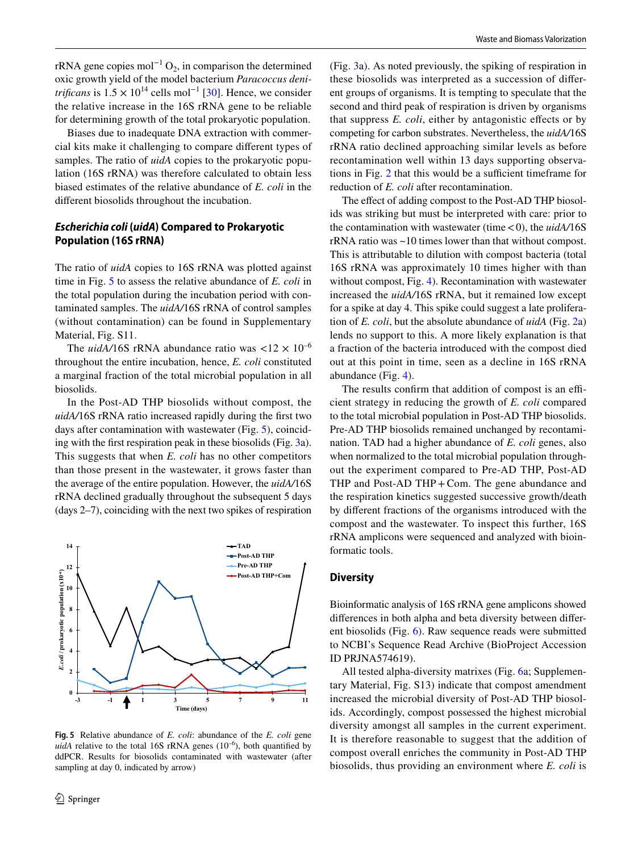rRNA gene copies mol<sup>-1</sup> O<sub>2</sub>, in comparison the determined oxic growth yield of the model bacterium *Paracoccus denitrificans* is  $1.5 \times 10^{14}$  cells mol<sup>-1</sup> [\[30](#page-12-5)]. Hence, we consider the relative increase in the 16S rRNA gene to be reliable for determining growth of the total prokaryotic population.

Biases due to inadequate DNA extraction with commercial kits make it challenging to compare diferent types of samples. The ratio of *uidA* copies to the prokaryotic population (16S rRNA) was therefore calculated to obtain less biased estimates of the relative abundance of *E. coli* in the diferent biosolids throughout the incubation.

# *Escherichia coli* **(***uidA***) Compared to Prokaryotic Population (16S rRNA)**

The ratio of *uidA* copies to 16S rRNA was plotted against time in Fig. [5](#page-9-0) to assess the relative abundance of *E. coli* in the total population during the incubation period with contaminated samples. The *uidA/*16S rRNA of control samples (without contamination) can be found in Supplementary Material, Fig. S11.

The *uidA*/16S rRNA abundance ratio was  $\langle 12 \times 10^{-6} \rangle$ throughout the entire incubation, hence, *E. coli* constituted a marginal fraction of the total microbial population in all biosolids.

In the Post-AD THP biosolids without compost, the *uidA/*16S rRNA ratio increased rapidly during the frst two days after contamination with wastewater (Fig. [5\)](#page-9-0), coinciding with the frst respiration peak in these biosolids (Fig. [3a](#page-7-0)). This suggests that when *E. coli* has no other competitors than those present in the wastewater, it grows faster than the average of the entire population. However, the *uidA/*16S rRNA declined gradually throughout the subsequent 5 days (days 2–7), coinciding with the next two spikes of respiration



<span id="page-9-0"></span>**Fig. 5** Relative abundance of *E. coli*: abundance of the *E. coli* gene *uidA* relative to the total 16S rRNA genes  $(10^{-6})$ , both quantified by ddPCR. Results for biosolids contaminated with wastewater (after sampling at day 0, indicated by arrow)

(Fig. [3](#page-7-0)a). As noted previously, the spiking of respiration in these biosolids was interpreted as a succession of diferent groups of organisms. It is tempting to speculate that the second and third peak of respiration is driven by organisms that suppress *E. coli*, either by antagonistic efects or by competing for carbon substrates. Nevertheless, the *uidA/*16S rRNA ratio declined approaching similar levels as before recontamination well within 13 days supporting observa-tions in Fig. [2](#page-6-0) that this would be a sufficient timeframe for reduction of *E. coli* after recontamination.

The effect of adding compost to the Post-AD THP biosolids was striking but must be interpreted with care: prior to the contamination with wastewater (time  $<$  0), the  $\mu$ *idA*/16S rRNA ratio was ~10 times lower than that without compost. This is attributable to dilution with compost bacteria (total 16S rRNA was approximately 10 times higher with than without compost, Fig. [4\)](#page-8-0). Recontamination with wastewater increased the *uidA/*16S rRNA, but it remained low except for a spike at day 4. This spike could suggest a late proliferation of *E. coli*, but the absolute abundance of *uidA* (Fig. [2](#page-6-0)a) lends no support to this. A more likely explanation is that a fraction of the bacteria introduced with the compost died out at this point in time, seen as a decline in 16S rRNA abundance (Fig. [4\)](#page-8-0).

The results confirm that addition of compost is an efficient strategy in reducing the growth of *E. coli* compared to the total microbial population in Post-AD THP biosolids. Pre-AD THP biosolids remained unchanged by recontamination. TAD had a higher abundance of *E. coli* genes, also when normalized to the total microbial population throughout the experiment compared to Pre-AD THP, Post-AD THP and Post-AD THP + Com. The gene abundance and the respiration kinetics suggested successive growth/death by diferent fractions of the organisms introduced with the compost and the wastewater. To inspect this further, 16S rRNA amplicons were sequenced and analyzed with bioinformatic tools.

#### **Diversity**

Bioinformatic analysis of 16S rRNA gene amplicons showed diferences in both alpha and beta diversity between diferent biosolids (Fig. [6](#page-10-0)). Raw sequence reads were submitted to NCBI's Sequence Read Archive (BioProject Accession ID PRJNA574619).

All tested alpha-diversity matrixes (Fig. [6a](#page-10-0); Supplementary Material, Fig. S13) indicate that compost amendment increased the microbial diversity of Post-AD THP biosolids. Accordingly, compost possessed the highest microbial diversity amongst all samples in the current experiment. It is therefore reasonable to suggest that the addition of compost overall enriches the community in Post-AD THP biosolids, thus providing an environment where *E. coli* is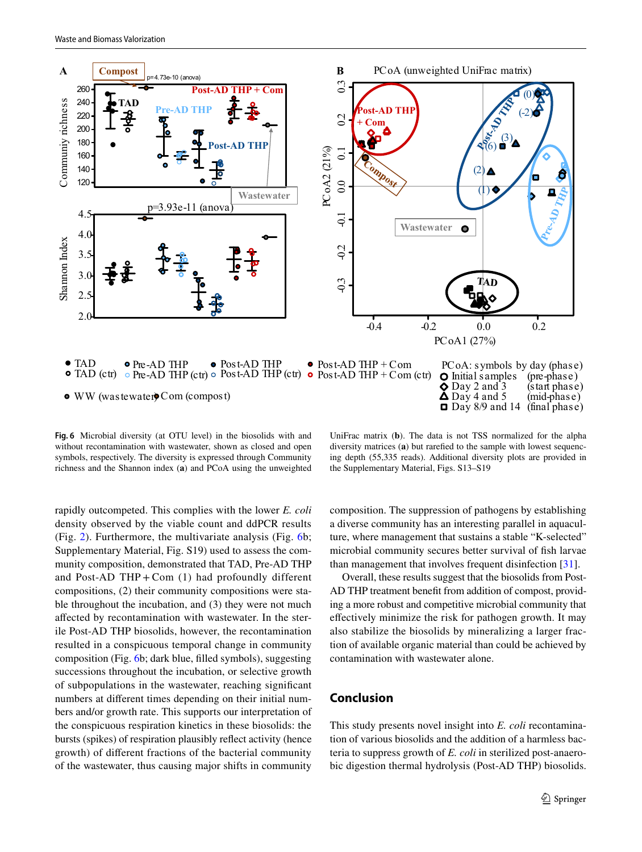

<span id="page-10-0"></span>**Fig. 6** Microbial diversity (at OTU level) in the biosolids with and without recontamination with wastewater, shown as closed and open symbols, respectively. The diversity is expressed through Community richness and the Shannon index (**a**) and PCoA using the unweighted

UniFrac matrix (**b**). The data is not TSS normalized for the alpha diversity matrices (**a**) but rarefed to the sample with lowest sequencing depth (55,335 reads). Additional diversity plots are provided in the Supplementary Material, Figs. S13–S19

rapidly outcompeted. This complies with the lower *E. coli* density observed by the viable count and ddPCR results (Fig. [2](#page-6-0)). Furthermore, the multivariate analysis (Fig. [6](#page-10-0)b; Supplementary Material, Fig. S19) used to assess the community composition, demonstrated that TAD, Pre-AD THP and Post-AD THP + Com  $(1)$  had profoundly different compositions, (2) their community compositions were stable throughout the incubation, and (3) they were not much afected by recontamination with wastewater. In the sterile Post-AD THP biosolids, however, the recontamination resulted in a conspicuous temporal change in community composition (Fig. [6](#page-10-0)b; dark blue, flled symbols), suggesting successions throughout the incubation, or selective growth of subpopulations in the wastewater, reaching signifcant numbers at diferent times depending on their initial numbers and/or growth rate. This supports our interpretation of the conspicuous respiration kinetics in these biosolids: the bursts (spikes) of respiration plausibly refect activity (hence growth) of diferent fractions of the bacterial community of the wastewater, thus causing major shifts in community composition. The suppression of pathogens by establishing a diverse community has an interesting parallel in aquaculture, where management that sustains a stable "K-selected" microbial community secures better survival of fsh larvae than management that involves frequent disinfection [[31\]](#page-12-6).

Overall, these results suggest that the biosolids from Post-AD THP treatment beneft from addition of compost, providing a more robust and competitive microbial community that efectively minimize the risk for pathogen growth. It may also stabilize the biosolids by mineralizing a larger fraction of available organic material than could be achieved by contamination with wastewater alone.

# **Conclusion**

This study presents novel insight into *E. coli* recontamination of various biosolids and the addition of a harmless bacteria to suppress growth of *E. coli* in sterilized post-anaerobic digestion thermal hydrolysis (Post-AD THP) biosolids.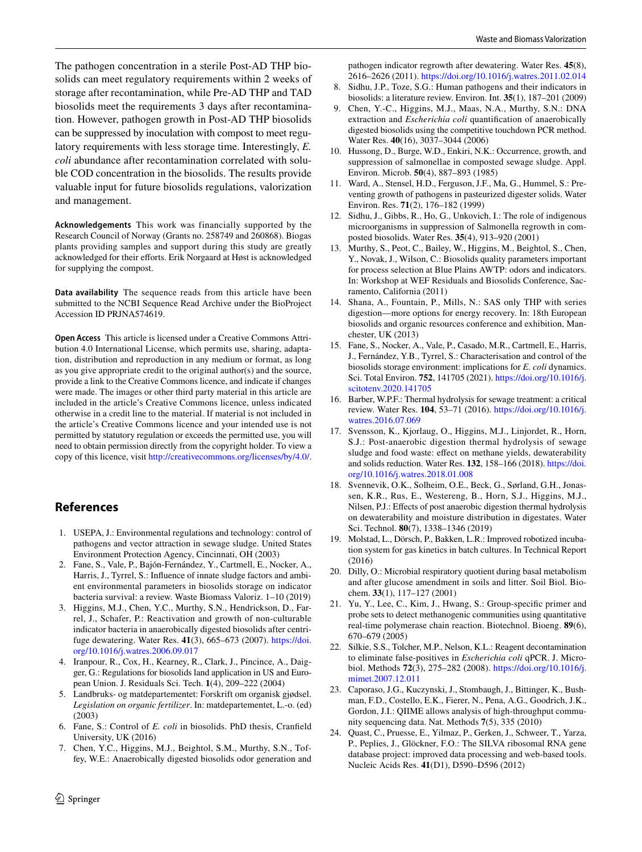The pathogen concentration in a sterile Post-AD THP biosolids can meet regulatory requirements within 2 weeks of storage after recontamination, while Pre-AD THP and TAD biosolids meet the requirements 3 days after recontamination. However, pathogen growth in Post-AD THP biosolids can be suppressed by inoculation with compost to meet regulatory requirements with less storage time. Interestingly, *E. coli* abundance after recontamination correlated with soluble COD concentration in the biosolids. The results provide valuable input for future biosolids regulations, valorization and management.

**Acknowledgements** This work was financially supported by the Research Council of Norway (Grants no. 258749 and 260868). Biogas plants providing samples and support during this study are greatly acknowledged for their efforts. Erik Norgaard at Høst is acknowledged for supplying the compost.

**Data availability** The sequence reads from this article have been submitted to the NCBI Sequence Read Archive under the BioProject Accession ID PRJNA574619.

**Open Access** This article is licensed under a Creative Commons Attribution 4.0 International License, which permits use, sharing, adaptation, distribution and reproduction in any medium or format, as long as you give appropriate credit to the original author(s) and the source, provide a link to the Creative Commons licence, and indicate if changes were made. The images or other third party material in this article are included in the article's Creative Commons licence, unless indicated otherwise in a credit line to the material. If material is not included in the article's Creative Commons licence and your intended use is not permitted by statutory regulation or exceeds the permitted use, you will need to obtain permission directly from the copyright holder. To view a copy of this licence, visit <http://creativecommons.org/licenses/by/4.0/>.

# **References**

- <span id="page-11-0"></span>1. USEPA, J.: Environmental regulations and technology: control of pathogens and vector attraction in sewage sludge. United States Environment Protection Agency, Cincinnati, OH (2003)
- <span id="page-11-1"></span>2. Fane, S., Vale, P., Bajón-Fernández, Y., Cartmell, E., Nocker, A., Harris, J., Tyrrel, S.: Infuence of innate sludge factors and ambient environmental parameters in biosolids storage on indicator bacteria survival: a review. Waste Biomass Valoriz. 1–10 (2019)
- <span id="page-11-2"></span>3. Higgins, M.J., Chen, Y.C., Murthy, S.N., Hendrickson, D., Farrel, J., Schafer, P.: Reactivation and growth of non-culturable indicator bacteria in anaerobically digested biosolids after centrifuge dewatering. Water Res. **41**(3), 665–673 (2007). [https://doi.](https://doi.org/10.1016/j.watres.2006.09.017) [org/10.1016/j.watres.2006.09.017](https://doi.org/10.1016/j.watres.2006.09.017)
- <span id="page-11-3"></span>4. Iranpour, R., Cox, H., Kearney, R., Clark, J., Pincince, A., Daigger, G.: Regulations for biosolids land application in US and European Union. J. Residuals Sci. Tech. **1**(4), 209–222 (2004)
- <span id="page-11-4"></span>5. Landbruks- og matdepartementet: Forskrift om organisk gjødsel. *Legislation on organic fertilizer*. In: matdepartementet, L.-o. (ed) (2003)
- <span id="page-11-5"></span>6. Fane, S.: Control of *E. coli* in biosolids. PhD thesis, Cranfeld University, UK (2016)
- <span id="page-11-6"></span>7. Chen, Y.C., Higgins, M.J., Beightol, S.M., Murthy, S.N., Toffey, W.E.: Anaerobically digested biosolids odor generation and

pathogen indicator regrowth after dewatering. Water Res. **45**(8), 2616–2626 (2011).<https://doi.org/10.1016/j.watres.2011.02.014>

- <span id="page-11-7"></span>8. Sidhu, J.P., Toze, S.G.: Human pathogens and their indicators in biosolids: a literature review. Environ. Int. **35**(1), 187–201 (2009)
- <span id="page-11-8"></span>9. Chen, Y.-C., Higgins, M.J., Maas, N.A., Murthy, S.N.: DNA extraction and *Escherichia coli* quantifcation of anaerobically digested biosolids using the competitive touchdown PCR method. Water Res. **40**(16), 3037–3044 (2006)
- <span id="page-11-9"></span>10. Hussong, D., Burge, W.D., Enkiri, N.K.: Occurrence, growth, and suppression of salmonellae in composted sewage sludge. Appl. Environ. Microb. **50**(4), 887–893 (1985)
- <span id="page-11-10"></span>11. Ward, A., Stensel, H.D., Ferguson, J.F., Ma, G., Hummel, S.: Preventing growth of pathogens in pasteurized digester solids. Water Environ. Res. **71**(2), 176–182 (1999)
- <span id="page-11-11"></span>12. Sidhu, J., Gibbs, R., Ho, G., Unkovich, I.: The role of indigenous microorganisms in suppression of Salmonella regrowth in composted biosolids. Water Res. **35**(4), 913–920 (2001)
- <span id="page-11-12"></span>13. Murthy, S., Peot, C., Bailey, W., Higgins, M., Beightol, S., Chen, Y., Novak, J., Wilson, C.: Biosolids quality parameters important for process selection at Blue Plains AWTP: odors and indicators. In: Workshop at WEF Residuals and Biosolids Conference, Sacramento, California (2011)
- <span id="page-11-13"></span>14. Shana, A., Fountain, P., Mills, N.: SAS only THP with series digestion—more options for energy recovery. In: 18th European biosolids and organic resources conference and exhibition, Manchester, UK (2013)
- <span id="page-11-14"></span>15. Fane, S., Nocker, A., Vale, P., Casado, M.R., Cartmell, E., Harris, J., Fernández, Y.B., Tyrrel, S.: Characterisation and control of the biosolids storage environment: implications for *E. coli* dynamics. Sci. Total Environ. **752**, 141705 (2021). [https://doi.org/10.1016/j.](https://doi.org/10.1016/j.scitotenv.2020.141705) [scitotenv.2020.141705](https://doi.org/10.1016/j.scitotenv.2020.141705)
- <span id="page-11-15"></span>16. Barber, W.P.F.: Thermal hydrolysis for sewage treatment: a critical review. Water Res. **104**, 53–71 (2016). [https://doi.org/10.1016/j.](https://doi.org/10.1016/j.watres.2016.07.069) [watres.2016.07.069](https://doi.org/10.1016/j.watres.2016.07.069)
- <span id="page-11-16"></span>17. Svensson, K., Kjorlaug, O., Higgins, M.J., Linjordet, R., Horn, S.J.: Post-anaerobic digestion thermal hydrolysis of sewage sludge and food waste: effect on methane yields, dewaterability and solids reduction. Water Res. **132**, 158–166 (2018). [https://doi.](https://doi.org/10.1016/j.watres.2018.01.008) [org/10.1016/j.watres.2018.01.008](https://doi.org/10.1016/j.watres.2018.01.008)
- <span id="page-11-17"></span>18. Svennevik, O.K., Solheim, O.E., Beck, G., Sørland, G.H., Jonassen, K.R., Rus, E., Westereng, B., Horn, S.J., Higgins, M.J., Nilsen, P.J.: Effects of post anaerobic digestion thermal hydrolysis on dewaterability and moisture distribution in digestates. Water Sci. Technol. **80**(7), 1338–1346 (2019)
- <span id="page-11-18"></span>19. Molstad, L., Dörsch, P., Bakken, L.R.: Improved robotized incubation system for gas kinetics in batch cultures. In Technical Report (2016)
- <span id="page-11-19"></span>20. Dilly, O.: Microbial respiratory quotient during basal metabolism and after glucose amendment in soils and litter. Soil Biol. Biochem. **33**(1), 117–127 (2001)
- <span id="page-11-20"></span>21. Yu, Y., Lee, C., Kim, J., Hwang, S.: Group-specifc primer and probe sets to detect methanogenic communities using quantitative real-time polymerase chain reaction. Biotechnol. Bioeng. **89**(6), 670–679 (2005)
- <span id="page-11-21"></span>22. Silkie, S.S., Tolcher, M.P., Nelson, K.L.: Reagent decontamination to eliminate false-positives in *Escherichia coli* qPCR. J. Microbiol. Methods **72**(3), 275–282 (2008). [https://doi.org/10.1016/j.](https://doi.org/10.1016/j.mimet.2007.12.011) [mimet.2007.12.011](https://doi.org/10.1016/j.mimet.2007.12.011)
- <span id="page-11-22"></span>23. Caporaso, J.G., Kuczynski, J., Stombaugh, J., Bittinger, K., Bushman, F.D., Costello, E.K., Fierer, N., Pena, A.G., Goodrich, J.K., Gordon, J.I.: QIIME allows analysis of high-throughput community sequencing data. Nat. Methods **7**(5), 335 (2010)
- <span id="page-11-23"></span>24. Quast, C., Pruesse, E., Yilmaz, P., Gerken, J., Schweer, T., Yarza, P., Peplies, J., Glöckner, F.O.: The SILVA ribosomal RNA gene database project: improved data processing and web-based tools. Nucleic Acids Res. **41**(D1), D590–D596 (2012)